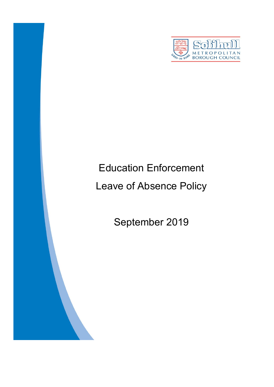

# Education Enforcement

# Leave of Absence Policy

September 2019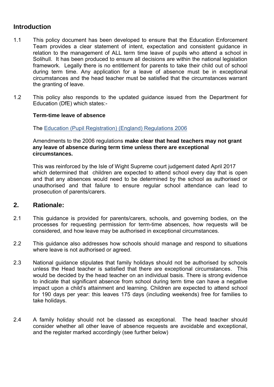#### **Introduction**

- 1.1 This policy document has been developed to ensure that the Education Enforcement Team provides a clear statement of intent, expectation and consistent guidance in relation to the management of ALL term time leave of pupils who attend a school in Solihull. It has been produced to ensure all decisions are within the national legislation framework. Legally there is no entitlement for parents to take their child out of school during term time. Any application for a leave of absence must be in exceptional circumstances and the head teacher must be satisfied that the circumstances warrant the granting of leave.
- 1.2 This policy also responds to the updated guidance issued from the Department for Education (DfE) which states:-

#### **Term-time leave of absence**

The [Education \(Pupil Registration\) \(England\) Regulations 2006](http://www.legislation.gov.uk/uksi/2006/1751/contents/made)

#### Amendments to the 2006 regulations **make clear that head teachers may not grant any leave of absence during term time unless there are exceptional circumstances.**

 This was reinforced by the Isle of Wight Supreme court judgement dated April 2017 which determined that children are expected to attend school every day that is open and that any absences would need to be determined by the school as authorised or unauthorised and that failure to ensure regular school attendance can lead to prosecution of parents/carers.

#### **2. Rationale:**

- 2.1 This guidance is provided for parents/carers, schools, and governing bodies, on the processes for requesting permission for term-time absences, how requests will be considered, and how leave may be authorised in exceptional circumstances.
- 2.2 This guidance also addresses how schools should manage and respond to situations where leave is not authorised or agreed.
- 2.3 National guidance stipulates that family holidays should not be authorised by schools unless the Head teacher is satisfied that there are exceptional circumstances. This would be decided by the head teacher on an individual basis. There is strong evidence to indicate that significant absence from school during term time can have a negative impact upon a child's attainment and learning. Children are expected to attend school for 190 days per year: this leaves 175 days (including weekends) free for families to take holidays.
- 2.4 A family holiday should not be classed as exceptional. The head teacher should consider whether all other leave of absence requests are avoidable and exceptional, and the register marked accordingly (see further below)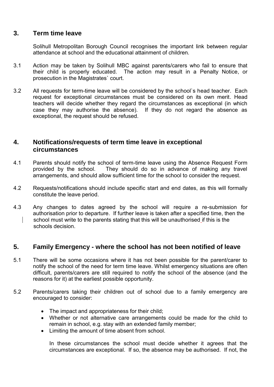#### **3. Term time leave**

 Solihull Metropolitan Borough Council recognises the important link between regular attendance at school and the educational attainment of children*.* 

- 3.1 Action may be taken by Solihull MBC against parents/carers who fail to ensure that their child is properly educated. The action may result in a Penalty Notice, or prosecution in the Magistrates` court.
- 3.2 All requests for term-time leave will be considered by the school`s head teacher. Each request for exceptional circumstances must be considered on its own merit. Head teachers will decide whether they regard the circumstances as exceptional (in which If they do not regard the absence as exceptional, the request should be refused.

#### **4. Notifications/requests of term time leave in exceptional circumstances**

- 4.1 Parents should notify the school of term-time leave using the Absence Request Form provided by the school. They should do so in advance of making any travel arrangements, and should allow sufficient time for the school to consider the request.
- 4.2 Requests/notifications should include specific start and end dates, as this will formally constitute the leave period.
- 4.3 Any changes to dates agreed by the school will require a re-submission for authorisation prior to departure. If further leave is taken after a specified time, then the school must write to the parents stating that this will be unauthorised if this is the schools decision.

#### **5. Family Emergency - where the school has not been notified of leave**

- 5.1 There will be some occasions where it has not been possible for the parent/carer to notify the school of the need for term time leave. Whilst emergency situations are often difficult, parents/carers are still required to notify the school of the absence (and the reasons for it) at the earliest possible opportunity.
- 5.2 Parents/carers taking their children out of school due to a family emergency are encouraged to consider:
	- The impact and appropriateness for their child;
	- Whether or not alternative care arrangements could be made for the child to remain in school, e.g. stay with an extended family member;
	- Limiting the amount of time absent from school.

In these circumstances the school must decide whether it agrees that the circumstances are exceptional. If so, the absence may be authorised. If not, the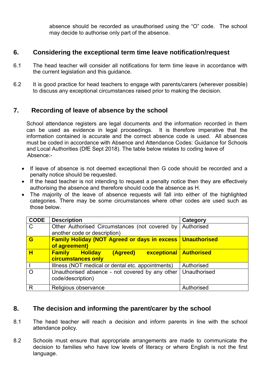absence should be recorded as unauthorised using the "O" code. The school may decide to authorise only part of the absence.

#### **6. Considering the exceptional term time leave notification/request**

- 6.1 The head teacher will consider all notifications for term time leave in accordance with the current legislation and this guidance.
- 6.2 It is good practice for head teachers to engage with parents/carers (wherever possible) to discuss any exceptional circumstances raised prior to making the decision.

#### **7. Recording of leave of absence by the school**

 School attendance registers are legal documents and the information recorded in them can be used as evidence in legal proceedings. It is therefore imperative that the information contained is accurate and the correct absence code is used. All absences must be coded in accordance with Absence and Attendance Codes: Guidance for Schools and Local Authorities (DfE Sept 2018). The table below relates to coding leave of Absence:-

- If leave of absence is not deemed exceptional then G code should be recorded and a penalty notice should be requested.
- If the head teacher is not intending to request a penalty notice then they are effectively authorising the absence and therefore should code the absence as H.
- The majority of the leave of absence requests will fall into either of the highlighted categories. There may be some circumstances where other codes are used such as those below.

| <b>CODE</b>  | <b>Description</b>                                                                  | Category     |
|--------------|-------------------------------------------------------------------------------------|--------------|
| $\mathsf{C}$ | Other Authorised Circumstances (not covered by<br>another code or description)      | Authorised   |
| G            | <b>Family Holiday (NOT Agreed or days in excess   Unauthorised</b><br>of agreement) |              |
| н            | (Agreed)<br>exceptional   Authorised<br><b>Family Holiday</b><br>circumstances only |              |
|              | Illness (NOT medical or dental etc. appointments)                                   | Authorised   |
|              | Unauthorised absence - not covered by any other<br>code/description)                | Unauthorised |
| R            | Religious observance                                                                | Authorised   |

## **8. The decision and informing the parent/carer by the school**

- 8.1 The head teacher will reach a decision and inform parents in line with the school attendance policy.
- 8.2 Schools must ensure that appropriate arrangements are made to communicate the decision to families who have low levels of literacy or where English is not the first language.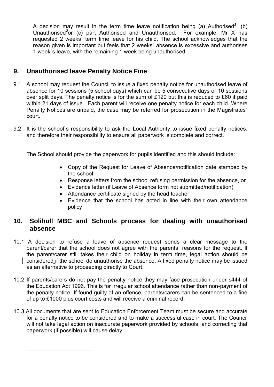A decision may result in the term time leave notification being (a) Authorised*<sup>1</sup>* , (b) Unauthorised*<sup>2</sup>* or (c) part Authorised and Unauthorised. For example, Mr X has requested 2 weeks` term time leave for his child. The school acknowledges that the reason given is important but feels that 2 weeks` absence is excessive and authorises 1 week`s leave, with the remaining 1 week being unauthorised.

# **9. Unauthorised leave Penalty Notice Fine**

 $\overline{a}$ 

- 9.1 A school may request the Council to issue a fixed penalty notice for unauthorised leave of absence for 10 sessions (5 school days) which can be 5 consecutive days or 10 sessions over split days. The penalty notice is for the sum of £120 but this is reduced to £60 if paid within 21 days of issue. Each parent will receive one penalty notice for each child. Where Penalty Notices are unpaid, the case may be referred for prosecution in the Magistrates` court.
- 9.2 It is the school`s responsibility to ask the Local Authority to issue fixed penalty notices, and therefore their responsibility to ensure all paperwork is complete and correct.

The School should provide the paperwork for pupils identified and this should include:

- Copy of the Request for Leave of Absence/notification date stamped by the school
- Response letters from the school refusing permission for the absence, or
- Evidence letter (if Leave of Absence form not submitted/notification)
- Attendance certificate signed by the head teacher
- Evidence that the school has acted in line with their own attendance policy

## **10. Solihull MBC and Schools process for dealing with unauthorised absence**

- 10.1 A decision to refuse a leave of absence request sends a clear message to the parent/carer that the school does not agree with the parents` reasons for the request. If the parent/carer still takes their child on holiday in term time, legal action should be considered if the school do unauthorise the absence. A fixed penalty notice may be issued as an alternative to proceeding directly to Court.
- 10.2 If parents/carers do not pay the penalty notice they may face prosecution under s444 of the Education Act 1996. This is for irregular school attendance rather than non-payment of the penalty notice. If found guilty of an offence, parents/carers can be sentenced to a fine of up to £1000 plus court costs and will receive a criminal record.
- 10.3 All documents that are sent to Education Enforcement Team must be secure and accurate for a penalty notice to be considered and to make a successful case in court. The Council will not take legal action on inaccurate paperwork provided by schools, and correcting that paperwork (if possible) will cause delay.